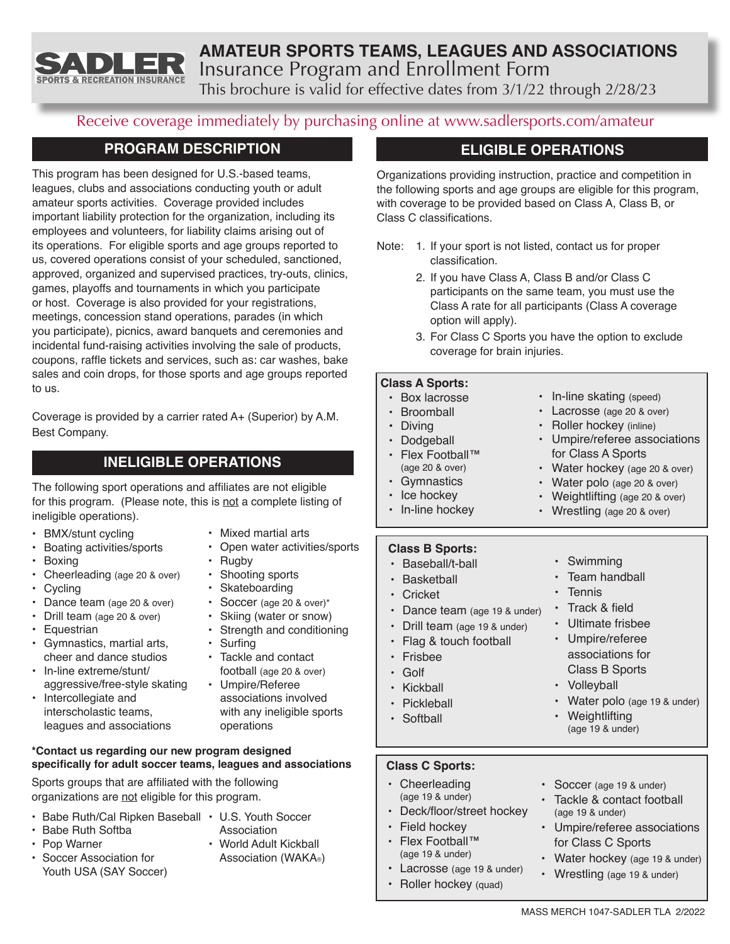

# **AMATEUR SPORTS TEAMS, LEAGUES AND ASSOCIATIONS** Insurance Program and Enrollment Form

This brochure is valid for effective dates from 3/1/22 through 2/28/23

# Receive coverage immediately by purchasing online at www.sadlersports.com/amateur

# **PROGRAM DESCRIPTION**

This program has been designed for U.S.-based teams, leagues, clubs and associations conducting youth or adult amateur sports activities. Coverage provided includes important liability protection for the organization, including its employees and volunteers, for liability claims arising out of its operations. For eligible sports and age groups reported to us, covered operations consist of your scheduled, sanctioned, approved, organized and supervised practices, try-outs, clinics, games, playoffs and tournaments in which you participate or host. Coverage is also provided for your registrations, meetings, concession stand operations, parades (in which you participate), picnics, award banquets and ceremonies and incidental fund-raising activities involving the sale of products, coupons, raffle tickets and services, such as: car washes, bake sales and coin drops, for those sports and age groups reported to us.

Coverage is provided by a carrier rated A+ (Superior) by A.M. Best Company.

# **INELIGIBLE OPERATIONS**

The following sport operations and affiliates are not eligible for this program. (Please note, this is not a complete listing of ineligible operations).

- BMX/stunt cycling
- Boating activities/sports
- Boxing
- Cheerleading (age 20 & over)
- Cycling
- Dance team (age 20 & over)
- Drill team (age 20 & over)
- Equestrian
- Gymnastics, martial arts, cheer and dance studios
- In-line extreme/stunt/ aggressive/free-style skating
- Intercollegiate and interscholastic teams, leagues and associations
- Open water activities/sports
- Rugby
- Shooting sports
- Skateboarding
- Soccer (age 20 & over)\*
- Skiing (water or snow)
- Strength and conditioning
- Surfing • Tackle and contact football (age 20 & over)
- Umpire/Referee associations involved with any ineligible sports

#### **\*Contact us regarding our new program designed specifically for adult soccer teams, leagues and associations**

Sports groups that are affiliated with the following organizations are not eligible for this program.

- Babe Ruth/Cal Ripken Baseball U.S. Youth Soccer
- Babe Ruth Softba
- Pop Warner
- Soccer Association for Youth USA (SAY Soccer)
- Association • World Adult Kickball Association (WAKA®)
- Deck/floor/street hockey
- Field hockey
- Flex Football™ (age 19 & under)
- Lacrosse (age 19 & under)
- Roller hockey (quad)

# **ELIGIBLE OPERATIONS**

Organizations providing instruction, practice and competition in the following sports and age groups are eligible for this program, with coverage to be provided based on Class A, Class B, or Class C classifications.

- Note: 1. If your sport is not listed, contact us for proper classification.
	- 2. If you have Class A, Class B and/or Class C participants on the same team, you must use the Class A rate for all participants (Class A coverage option will apply).
	- 3. For Class C Sports you have the option to exclude coverage for brain injuries.

#### **Class A Sports:**

| $\bullet$<br>• Box lacrosse<br><b>Broomball</b><br>$\bullet$<br>$\bullet$<br><b>Diving</b><br>$\bullet$<br>$\bullet$<br>Dodgeball<br>$\bullet$<br>$\bullet$<br>• Flex Football™<br>(age 20 & over)<br>$\bullet$<br>Gymnastics<br>$\bullet$<br>$\bullet$<br>• Ice hockey<br>• In-line hockey<br><b>Class B Sports:</b> | In-line skating (speed)<br>Lacrosse (age 20 & over)<br>Roller hockey (inline)<br>Umpire/referee associations<br>for Class A Sports<br>Water hockey (age 20 & over)<br>Water polo (age 20 & over)<br>• Weightlifting (age 20 & over)<br>Wrestling (age 20 & over)                               |
|-----------------------------------------------------------------------------------------------------------------------------------------------------------------------------------------------------------------------------------------------------------------------------------------------------------------------|------------------------------------------------------------------------------------------------------------------------------------------------------------------------------------------------------------------------------------------------------------------------------------------------|
| Baseball/t-ball<br>Basketball<br>$\bullet$<br>Cricket<br>Dance team (age 19 & under)<br>$\bullet$<br>Drill team (age 19 & under)<br>$\bullet$<br>Flag & touch football<br>$\bullet$<br>Frishee<br>$\cdot$ Golf<br>Kickball<br>Pickleball<br>· Softball                                                                | • Swimming<br>Team handball<br>Tennis<br>$\bullet$<br>Track & field<br>$\bullet$<br>Ultimate frisbee<br>$\bullet$<br>Umpire/referee<br>$\bullet$<br>associations for<br><b>Class B Sports</b><br>• Volleyball<br>Water polo (age 19 & under)<br>$\bullet$<br>Weightlifting<br>(age 19 & under) |
| <b>Class C Sports:</b>                                                                                                                                                                                                                                                                                                |                                                                                                                                                                                                                                                                                                |
| Cheerleading<br>(age 19 & under)<br>Deck/floor/street hockey<br>$\bullet$                                                                                                                                                                                                                                             | Soccer (age 19 & under)<br>٠<br>Tackle & contact football<br>(age 19 & under)                                                                                                                                                                                                                  |

- Umpire/referee associations for Class C Sports
- Water hockey (age 19 & under)
- Wrestling (age 19 & under)

operations

- Mixed martial arts
	-
	-
	-
-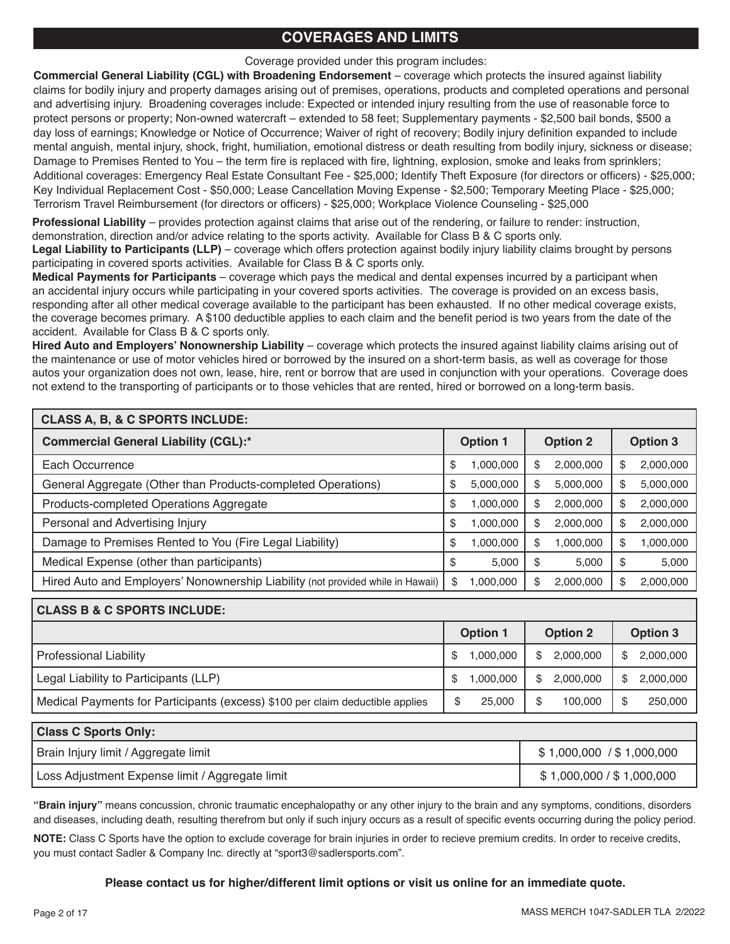# **COVERAGES AND LIMITS**

Coverage provided under this program includes:

**Commercial General Liability (CGL) with Broadening Endorsement** – coverage which protects the insured against liability claims for bodily injury and property damages arising out of premises, operations, products and completed operations and personal and advertising injury. Broadening coverages include: Expected or intended injury resulting from the use of reasonable force to protect persons or property; Non-owned watercraft – extended to 58 feet; Supplementary payments - \$2,500 bail bonds, \$500 a day loss of earnings; Knowledge or Notice of Occurrence; Waiver of right of recovery; Bodily injury definition expanded to include mental anguish, mental injury, shock, fright, humiliation, emotional distress or death resulting from bodily injury, sickness or disease; Damage to Premises Rented to You – the term fire is replaced with fire, lightning, explosion, smoke and leaks from sprinklers; Additional coverages: Emergency Real Estate Consultant Fee - \$25,000; Identify Theft Exposure (for directors or officers) - \$25,000; Key Individual Replacement Cost - \$50,000; Lease Cancellation Moving Expense - \$2,500; Temporary Meeting Place - \$25,000; Terrorism Travel Reimbursement (for directors or officers) - \$25,000; Workplace Violence Counseling - \$25,000

**Professional Liability** – provides protection against claims that arise out of the rendering, or failure to render: instruction, demonstration, direction and/or advice relating to the sports activity. Available for Class B & C sports only.

**Legal Liability to Participants (LLP)** – coverage which offers protection against bodily injury liability claims brought by persons participating in covered sports activities. Available for Class B & C sports only.

**Medical Payments for Participants** – coverage which pays the medical and dental expenses incurred by a participant when an accidental injury occurs while participating in your covered sports activities. The coverage is provided on an excess basis, responding after all other medical coverage available to the participant has been exhausted. If no other medical coverage exists, the coverage becomes primary. A \$100 deductible applies to each claim and the benefit period is two years from the date of the accident. Available for Class B & C sports only.

**Hired Auto and Employers' Nonownership Liability** – coverage which protects the insured against liability claims arising out of the maintenance or use of motor vehicles hired or borrowed by the insured on a short-term basis, as well as coverage for those autos your organization does not own, lease, hire, rent or borrow that are used in conjunction with your operations. Coverage does not extend to the transporting of participants or to those vehicles that are rented, hired or borrowed on a long-term basis.

| <b>CLASS A, B, &amp; C SPORTS INCLUDE:</b>                                      |                 |           |                 |           |                 |           |
|---------------------------------------------------------------------------------|-----------------|-----------|-----------------|-----------|-----------------|-----------|
| <b>Commercial General Liability (CGL):*</b>                                     | <b>Option 1</b> |           | <b>Option 2</b> |           | <b>Option 3</b> |           |
| Each Occurrence                                                                 | \$              | 1,000,000 | S               | 2,000,000 | \$              | 2,000,000 |
| General Aggregate (Other than Products-completed Operations)                    | \$              | 5,000,000 | S               | 5,000,000 | \$              | 5,000,000 |
| Products-completed Operations Aggregate                                         | \$              | 1,000,000 | S               | 2,000,000 | \$              | 2,000,000 |
| Personal and Advertising Injury                                                 | \$              | 1,000,000 | S               | 2,000,000 | \$              | 2,000,000 |
| Damage to Premises Rented to You (Fire Legal Liability)                         | \$              | 1,000,000 | S               | 1,000,000 | \$              | 1,000,000 |
| Medical Expense (other than participants)                                       | \$              | 5.000     | \$              | 5.000     | \$              | 5,000     |
| Hired Auto and Employers' Nonownership Liability (not provided while in Hawaii) | \$              | 000,000,  | S               | 2,000,000 | \$              | 2,000,000 |

# **CLASS B & C SPORTS INCLUDE:**

|                                                                               | <b>Option 1</b> | <b>Option 2</b>           |                 |
|-------------------------------------------------------------------------------|-----------------|---------------------------|-----------------|
| Professional Liability                                                        | 1.000.000<br>\$ | 2,000,000<br>S.           | 2.000.000<br>S. |
| Legal Liability to Participants (LLP)                                         | 1.000.000       | 2.000.000<br>$\mathbb{S}$ | 2.000.000<br>\$ |
| Medical Payments for Participants (excess) \$100 per claim deductible applies | 25,000          | 100.000                   | 250,000         |

| <b>Class C Sports Only:</b>                     |                           |
|-------------------------------------------------|---------------------------|
| Brain Injury limit / Aggregate limit            | \$1,000,000 / \$1,000,000 |
| Loss Adjustment Expense limit / Aggregate limit | \$1,000,000 / \$1,000,000 |

**"Brain injury"** means concussion, chronic traumatic encephalopathy or any other injury to the brain and any symptoms, conditions, disorders and diseases, including death, resulting therefrom but only if such injury occurs as a result of specific events occurring during the policy period.

**NOTE:** Class C Sports have the option to exclude coverage for brain injuries in order to recieve premium credits. In order to receive credits, you must contact Sadler & Company Inc. directly at "sport3@sadlersports.com".

#### **Please contact us for higher/different limit options or visit us online for an immediate quote.**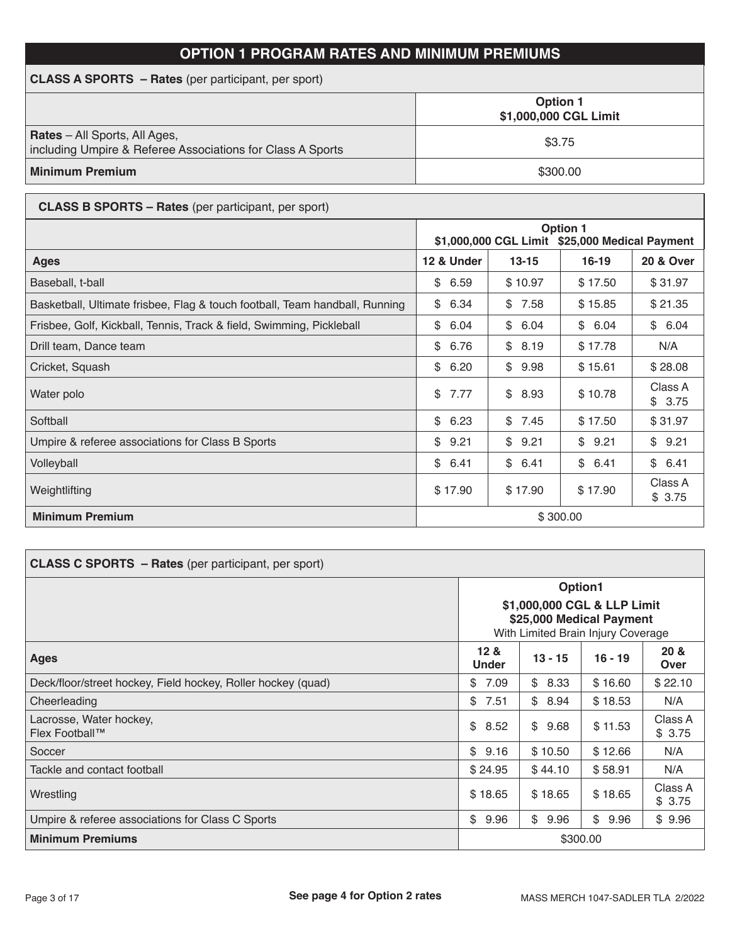# **OPTION 1 PROGRAM RATES AND MINIMUM PREMIUMS**

| <b>CLASS A SPORTS – Rates</b> (per participant, per sport)                                         |                                          |  |  |  |  |
|----------------------------------------------------------------------------------------------------|------------------------------------------|--|--|--|--|
|                                                                                                    | <b>Option 1</b><br>\$1,000,000 CGL Limit |  |  |  |  |
| <b>Rates</b> – All Sports, All Ages,<br>including Umpire & Referee Associations for Class A Sports | \$3.75                                   |  |  |  |  |
| <b>Minimum Premium</b>                                                                             | \$300.00                                 |  |  |  |  |

| <b>CLASS B SPORTS - Rates</b> (per participant, per sport)                  |                                                                   |            |            |                      |
|-----------------------------------------------------------------------------|-------------------------------------------------------------------|------------|------------|----------------------|
|                                                                             | <b>Option 1</b><br>\$1,000,000 CGL Limit \$25,000 Medical Payment |            |            |                      |
| <b>Ages</b>                                                                 | 12 & Under                                                        | $13 - 15$  | $16 - 19$  | <b>20 &amp; Over</b> |
| Baseball, t-ball                                                            | 6.59<br>\$                                                        | \$10.97    | \$17.50    | \$31.97              |
| Basketball, Ultimate frisbee, Flag & touch football, Team handball, Running | \$<br>6.34                                                        | \$<br>7.58 | \$15.85    | \$21.35              |
| Frisbee, Golf, Kickball, Tennis, Track & field, Swimming, Pickleball        | \$<br>6.04                                                        | \$<br>6.04 | \$6.04     | \$6.04               |
| Drill team, Dance team                                                      | \$<br>6.76                                                        | \$<br>8.19 | \$17.78    | N/A                  |
| Cricket, Squash                                                             | \$<br>6.20                                                        | \$<br>9.98 | \$15.61    | \$28.08              |
| Water polo                                                                  | \$<br>7.77                                                        | \$<br>8.93 | \$10.78    | Class A<br>\$3.75    |
| Softball                                                                    | \$<br>6.23                                                        | \$<br>7.45 | \$17.50    | \$31.97              |
| Umpire & referee associations for Class B Sports                            | \$<br>9.21                                                        | \$<br>9.21 | \$<br>9.21 | 9.21<br>\$           |
| Volleyball                                                                  | \$<br>6.41                                                        | \$6.41     | \$6.41     | \$6.41               |
| Weightlifting                                                               | \$17.90                                                           | \$17.90    | \$17.90    | Class A<br>\$3.75    |
| <b>Minimum Premium</b>                                                      | \$300.00                                                          |            |            |                      |

| <b>CLASS C SPORTS - Rates (per participant, per sport)</b>   |                                                                                                          |           |           |                   |
|--------------------------------------------------------------|----------------------------------------------------------------------------------------------------------|-----------|-----------|-------------------|
|                                                              | Option1<br>\$1,000,000 CGL & LLP Limit<br>\$25,000 Medical Payment<br>With Limited Brain Injury Coverage |           |           |                   |
| <b>Ages</b>                                                  | 12 <sub>8</sub><br><b>Under</b>                                                                          | $13 - 15$ | $16 - 19$ | 20 &<br>Over      |
| Deck/floor/street hockey, Field hockey, Roller hockey (quad) | \$<br>7.09                                                                                               | \$8.33    | \$16.60   | \$22.10           |
| Cheerleading                                                 | \$<br>7.51                                                                                               | \$8.94    | \$18.53   | N/A               |
| Lacrosse, Water hockey,<br>Flex Football™                    | \$<br>8.52                                                                                               | \$9.68    | \$11.53   | Class A<br>\$3.75 |
| Soccer                                                       | \$<br>9.16                                                                                               | \$10.50   | \$12.66   | N/A               |
| Tackle and contact football                                  | \$24.95                                                                                                  | \$44.10   | \$58.91   | N/A               |
| Wrestling                                                    | \$18.65                                                                                                  | \$18.65   | \$18.65   | Class A<br>\$3.75 |
| Umpire & referee associations for Class C Sports             | \$<br>9.96                                                                                               | \$9.96    | \$9.96    | \$9.96            |
| <b>Minimum Premiums</b>                                      | \$300.00                                                                                                 |           |           |                   |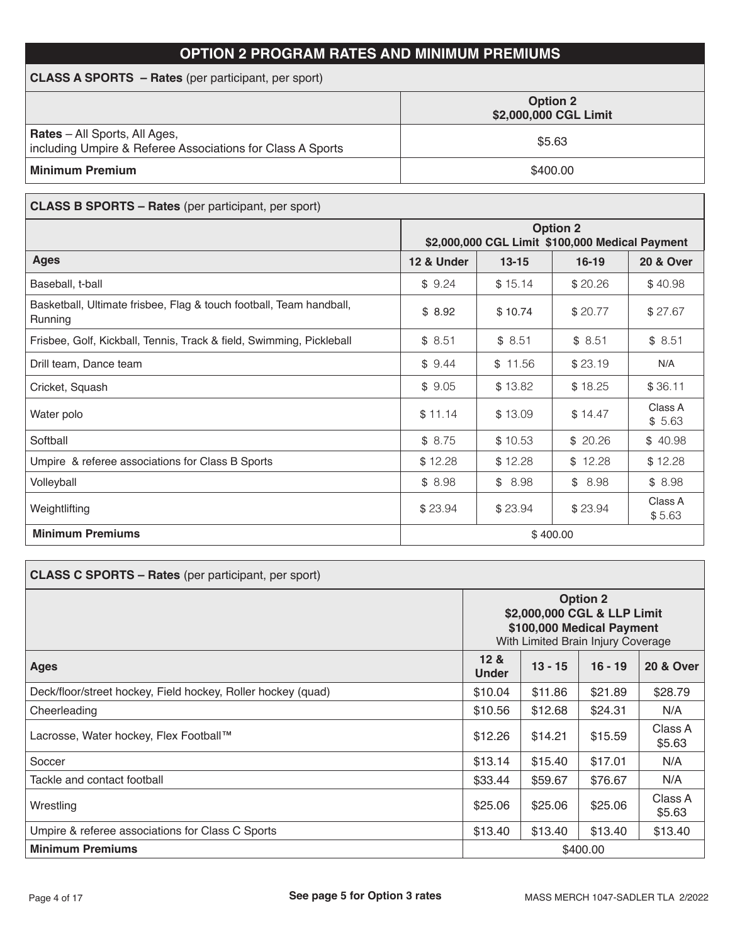# **OPTION 2 PROGRAM RATES AND MINIMUM PREMIUMS**

| <b>CLASS A SPORTS - Rates</b> (per participant, per sport)                                         |                                          |  |  |  |
|----------------------------------------------------------------------------------------------------|------------------------------------------|--|--|--|
|                                                                                                    | <b>Option 2</b><br>\$2,000,000 CGL Limit |  |  |  |
| <b>Rates</b> – All Sports, All Ages,<br>including Umpire & Referee Associations for Class A Sports | \$5.63                                   |  |  |  |
| <b>Minimum Premium</b>                                                                             | \$400.00                                 |  |  |  |

| <b>CLASS B SPORTS - Rates</b> (per participant, per sport)                     |                                                                    |           |           |                      |  |
|--------------------------------------------------------------------------------|--------------------------------------------------------------------|-----------|-----------|----------------------|--|
|                                                                                | <b>Option 2</b><br>\$2,000,000 CGL Limit \$100,000 Medical Payment |           |           |                      |  |
| <b>Ages</b>                                                                    | 12 & Under                                                         | $13 - 15$ | $16 - 19$ | <b>20 &amp; Over</b> |  |
| Baseball, t-ball                                                               | \$9.24                                                             | \$15.14   | \$20.26   | \$40.98              |  |
| Basketball, Ultimate frisbee, Flag & touch football, Team handball,<br>Running | \$8.92                                                             | \$10.74   | \$20.77   | \$27.67              |  |
| Frisbee, Golf, Kickball, Tennis, Track & field, Swimming, Pickleball           | \$8.51                                                             | \$8.51    | \$8.51    | \$8.51               |  |
| Drill team, Dance team                                                         | \$9.44                                                             | \$11.56   | \$23.19   | N/A                  |  |
| Cricket, Squash                                                                | \$9.05                                                             | \$13.82   | \$18.25   | \$36.11              |  |
| Water polo                                                                     | \$11.14                                                            | \$13.09   | \$14.47   | Class A<br>\$5.63    |  |
| Softball                                                                       | \$8.75                                                             | \$10.53   | \$20.26   | \$40.98              |  |
| Umpire & referee associations for Class B Sports                               | \$12.28                                                            | \$12.28   | \$12.28   | \$12.28              |  |
| Volleyball                                                                     | \$8.98                                                             | \$8.98    | \$8.98    | \$8.98               |  |
| Weightlifting                                                                  | \$23.94                                                            | \$23.94   | \$23.94   | Class A<br>\$5.63    |  |
| <b>Minimum Premiums</b><br>\$400.00                                            |                                                                    |           |           |                      |  |

| <b>CLASS C SPORTS - Rates</b> (per participant, per sport)   |                                                                                                                   |           |           |                      |
|--------------------------------------------------------------|-------------------------------------------------------------------------------------------------------------------|-----------|-----------|----------------------|
|                                                              | <b>Option 2</b><br>\$2,000,000 CGL & LLP Limit<br>\$100,000 Medical Payment<br>With Limited Brain Injury Coverage |           |           |                      |
| <b>Ages</b>                                                  | 12 &<br><b>Under</b>                                                                                              | $13 - 15$ | $16 - 19$ | <b>20 &amp; Over</b> |
| Deck/floor/street hockey, Field hockey, Roller hockey (quad) | \$10.04                                                                                                           | \$11.86   | \$21.89   | \$28.79              |
| Cheerleading                                                 | \$10.56                                                                                                           | \$12.68   | \$24.31   | N/A                  |
| Lacrosse, Water hockey, Flex Football™                       | \$12.26                                                                                                           | \$14.21   | \$15.59   | Class A<br>\$5.63    |
| Soccer                                                       | \$13.14                                                                                                           | \$15.40   | \$17.01   | N/A                  |
| Tackle and contact football                                  | \$33.44                                                                                                           | \$59.67   | \$76.67   | N/A                  |
| Wrestling                                                    | \$25.06                                                                                                           | \$25.06   | \$25.06   | Class A<br>\$5.63    |
| Umpire & referee associations for Class C Sports             | \$13.40                                                                                                           | \$13.40   | \$13.40   | \$13.40              |
| <b>Minimum Premiums</b><br>\$400.00                          |                                                                                                                   |           |           |                      |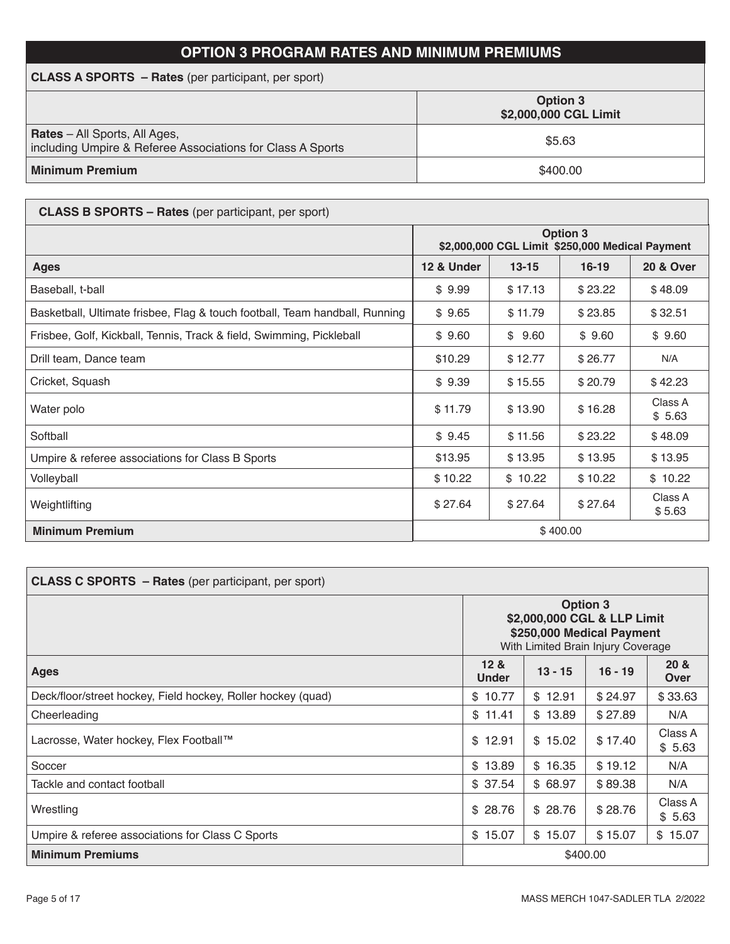# **OPTION 3 PROGRAM RATES AND MINIMUM PREMIUMS**

| <b>CLASS A SPORTS</b> – Rates (per participant, per sport)                                         |                                          |  |  |  |  |
|----------------------------------------------------------------------------------------------------|------------------------------------------|--|--|--|--|
|                                                                                                    | <b>Option 3</b><br>\$2,000,000 CGL Limit |  |  |  |  |
| <b>Rates</b> – All Sports, All Ages,<br>including Umpire & Referee Associations for Class A Sports | \$5.63                                   |  |  |  |  |
| <b>Minimum Premium</b>                                                                             | \$400.00                                 |  |  |  |  |

| <b>CLASS B SPORTS – Rates</b> (per participant, per sport)                  |                                                                    |         |         |                   |  |  |
|-----------------------------------------------------------------------------|--------------------------------------------------------------------|---------|---------|-------------------|--|--|
|                                                                             | <b>Option 3</b><br>\$2,000,000 CGL Limit \$250,000 Medical Payment |         |         |                   |  |  |
| <b>Ages</b>                                                                 | 12 & Under<br>$13 - 15$<br>$16 - 19$<br><b>20 &amp; Over</b>       |         |         |                   |  |  |
| Baseball, t-ball                                                            | \$9.99                                                             | \$17.13 | \$23.22 | \$48.09           |  |  |
| Basketball, Ultimate frisbee, Flag & touch football, Team handball, Running | \$9.65                                                             | \$11.79 | \$23.85 | \$32.51           |  |  |
| Frisbee, Golf, Kickball, Tennis, Track & field, Swimming, Pickleball        | \$9.60                                                             | \$9.60  | \$9.60  | \$9.60            |  |  |
| Drill team, Dance team                                                      | \$10.29                                                            | \$12.77 | \$26.77 | N/A               |  |  |
| Cricket, Squash                                                             | \$9.39                                                             | \$15.55 | \$20.79 | \$42.23           |  |  |
| Water polo                                                                  | \$11.79                                                            | \$13.90 | \$16.28 | Class A<br>\$5.63 |  |  |
| Softball                                                                    | \$9.45                                                             | \$11.56 | \$23.22 | \$48.09           |  |  |
| Umpire & referee associations for Class B Sports                            | \$13.95                                                            | \$13.95 | \$13.95 | \$13.95           |  |  |
| Volleyball                                                                  | \$10.22                                                            | \$10.22 | \$10.22 | \$10.22           |  |  |
| Weightlifting                                                               | \$27.64                                                            | \$27.64 | \$27.64 | Class A<br>\$5.63 |  |  |
| <b>Minimum Premium</b>                                                      | \$400.00                                                           |         |         |                   |  |  |

| <b>CLASS C SPORTS - Rates</b> (per participant, per sport)   |                                                                                                                   |         |         |                   |  |  |  |  |
|--------------------------------------------------------------|-------------------------------------------------------------------------------------------------------------------|---------|---------|-------------------|--|--|--|--|
|                                                              | <b>Option 3</b><br>\$2,000,000 CGL & LLP Limit<br>\$250,000 Medical Payment<br>With Limited Brain Injury Coverage |         |         |                   |  |  |  |  |
| <b>Ages</b>                                                  | 12 <sub>8</sub><br>$13 - 15$<br>$16 - 19$<br><b>Under</b>                                                         |         |         |                   |  |  |  |  |
| Deck/floor/street hockey, Field hockey, Roller hockey (quad) | \$10.77                                                                                                           | \$12.91 | \$24.97 | \$33.63           |  |  |  |  |
| Cheerleading                                                 | \$11.41                                                                                                           | \$13.89 | \$27.89 | N/A               |  |  |  |  |
| Lacrosse, Water hockey, Flex Football™                       | \$12.91                                                                                                           | \$15.02 | \$17.40 | Class A<br>\$5.63 |  |  |  |  |
| Soccer                                                       | \$13.89                                                                                                           | \$16.35 | \$19.12 | N/A               |  |  |  |  |
| Tackle and contact football                                  | \$37.54                                                                                                           | \$68.97 | \$89.38 | N/A               |  |  |  |  |
| Wrestling                                                    | \$28.76                                                                                                           | \$28.76 | \$28.76 | Class A<br>\$5.63 |  |  |  |  |
| Umpire & referee associations for Class C Sports             | \$15.07                                                                                                           | \$15.07 | \$15.07 | \$15.07           |  |  |  |  |
| <b>Minimum Premiums</b>                                      | \$400.00                                                                                                          |         |         |                   |  |  |  |  |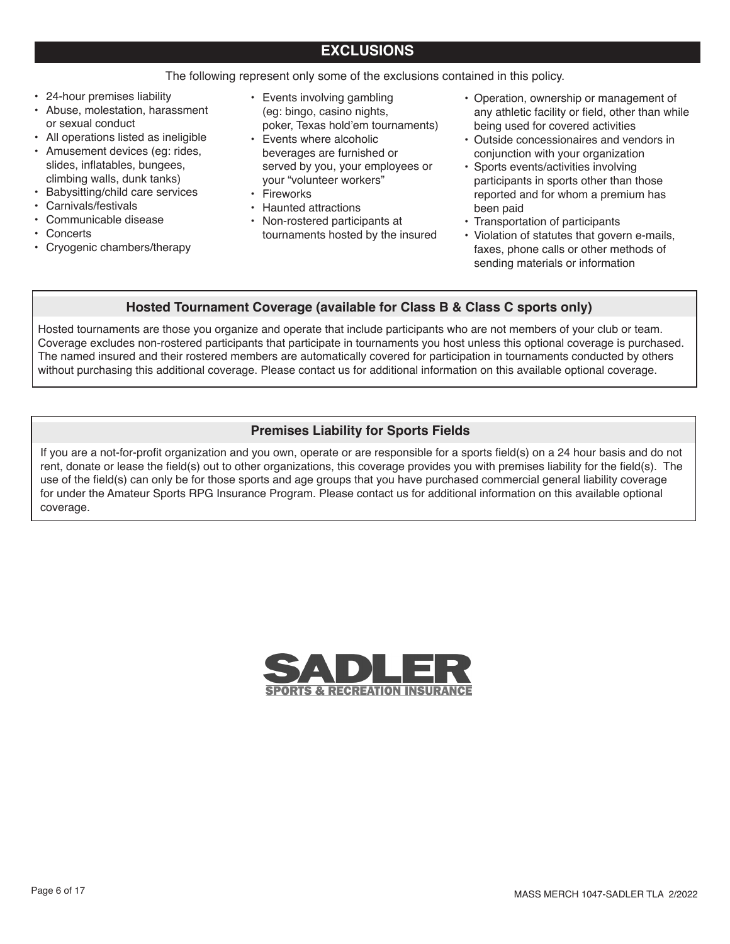## The following represent only some of the exclusions contained in this policy.

- 24-hour premises liability
- Abuse, molestation, harassment or sexual conduct
- All operations listed as ineligible
- Amusement devices (eg: rides, slides, inflatables, bungees, climbing walls, dunk tanks)
- Babysitting/child care services
- Carnivals/festivals
- Communicable disease
- **Concerts**
- Cryogenic chambers/therapy
- Events involving gambling (eg: bingo, casino nights, poker, Texas hold'em tournaments)
- Events where alcoholic beverages are furnished or served by you, your employees or your "volunteer workers"
- Fireworks
- Haunted attractions
- Non-rostered participants at tournaments hosted by the insured
- Operation, ownership or management of any athletic facility or field, other than while being used for covered activities
- Outside concessionaires and vendors in conjunction with your organization
- Sports events/activities involving participants in sports other than those reported and for whom a premium has been paid
- Transportation of participants
- Violation of statutes that govern e-mails, faxes, phone calls or other methods of sending materials or information

## **Hosted Tournament Coverage (available for Class B & Class C sports only)**

Hosted tournaments are those you organize and operate that include participants who are not members of your club or team. Coverage excludes non-rostered participants that participate in tournaments you host unless this optional coverage is purchased. The named insured and their rostered members are automatically covered for participation in tournaments conducted by others without purchasing this additional coverage. Please contact us for additional information on this available optional coverage.

## **Premises Liability for Sports Fields**

If you are a not-for-profit organization and you own, operate or are responsible for a sports field(s) on a 24 hour basis and do not rent, donate or lease the field(s) out to other organizations, this coverage provides you with premises liability for the field(s). The use of the field(s) can only be for those sports and age groups that you have purchased commercial general liability coverage for under the Amateur Sports RPG Insurance Program. Please contact us for additional information on this available optional coverage.

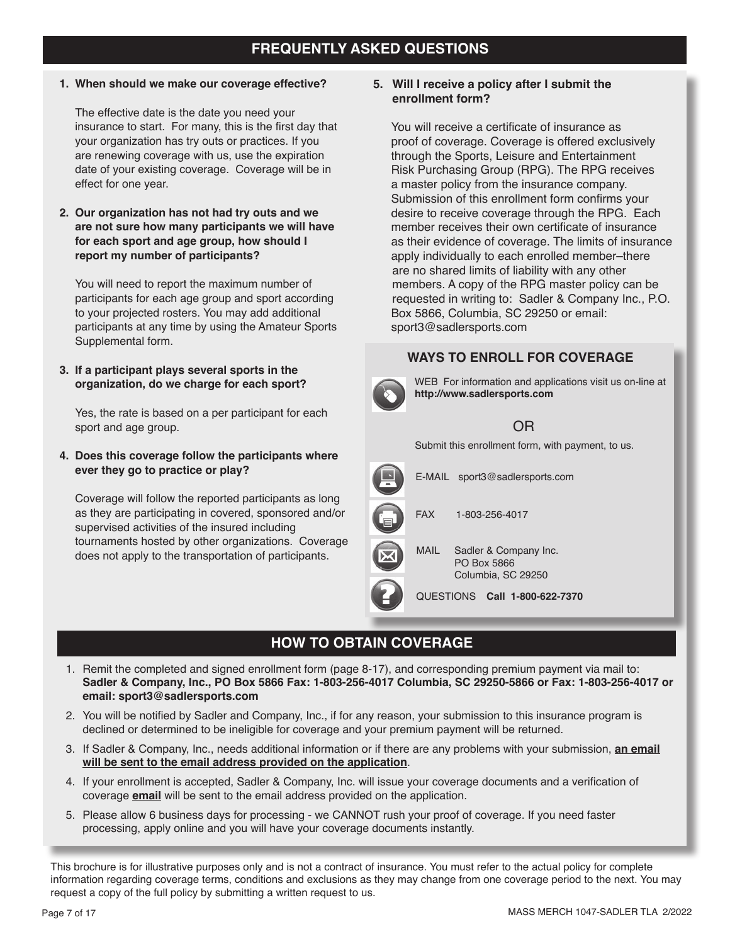# **FREQUENTLY ASKED QUESTIONS**

**1. When should we make our coverage effective?**

The effective date is the date you need your insurance to start. For many, this is the first day that your organization has try outs or practices. If you are renewing coverage with us, use the expiration date of your existing coverage. Coverage will be in effect for one year.

**2. Our organization has not had try outs and we are not sure how many participants we will have for each sport and age group, how should I report my number of participants?**

You will need to report the maximum number of participants for each age group and sport according to your projected rosters. You may add additional participants at any time by using the Amateur Sports Supplemental form.

**3. If a participant plays several sports in the organization, do we charge for each sport?**

Yes, the rate is based on a per participant for each sport and age group.

**4. Does this coverage follow the participants where ever they go to practice or play?**

Coverage will follow the reported participants as long as they are participating in covered, sponsored and/or supervised activities of the insured including tournaments hosted by other organizations. Coverage does not apply to the transportation of participants.

#### **5. Will I receive a policy after I submit the enrollment form?**

You will receive a certificate of insurance as proof of coverage. Coverage is offered exclusively through the Sports, Leisure and Entertainment Risk Purchasing Group (RPG). The RPG receives a master policy from the insurance company. Submission of this enrollment form confirms your desire to receive coverage through the RPG. Each member receives their own certificate of insurance as their evidence of coverage. The limits of insurance apply individually to each enrolled member–there are no shared limits of liability with any other members. A copy of the RPG master policy can be requested in writing to: Sadler & Company Inc., P.O. Box 5866, Columbia, SC 29250 or email: sport3@sadlersports.com

## **WAYS TO ENROLL FOR COVERAGE**



WEB For information and applications visit us on-line at **http://www.sadlersports.com**

# OR

Submit this enrollment form, with payment, to us.



# **HOW TO OBTAIN COVERAGE**

- 1. Remit the completed and signed enrollment form (page 8-17), and corresponding premium payment via mail to: **Sadler & Company, Inc., PO Box 5866 Fax: 1-803-256-4017 Columbia, SC 29250-5866 or Fax: 1-803-256-4017 or email: sport3@sadlersports.com**
- 2. You will be notified by Sadler and Company, Inc., if for any reason, your submission to this insurance program is declined or determined to be ineligible for coverage and your premium payment will be returned.
- 3. If Sadler & Company, Inc., needs additional information or if there are any problems with your submission, **an email will be sent to the email address provided on the application**.
- 4. If your enrollment is accepted, Sadler & Company, Inc. will issue your coverage documents and a verification of coverage **email** will be sent to the email address provided on the application.
- 5. Please allow 6 business days for processing we CANNOT rush your proof of coverage. If you need faster processing, apply online and you will have your coverage documents instantly.

This brochure is for illustrative purposes only and is not a contract of insurance. You must refer to the actual policy for complete information regarding coverage terms, conditions and exclusions as they may change from one coverage period to the next. You may request a copy of the full policy by submitting a written request to us.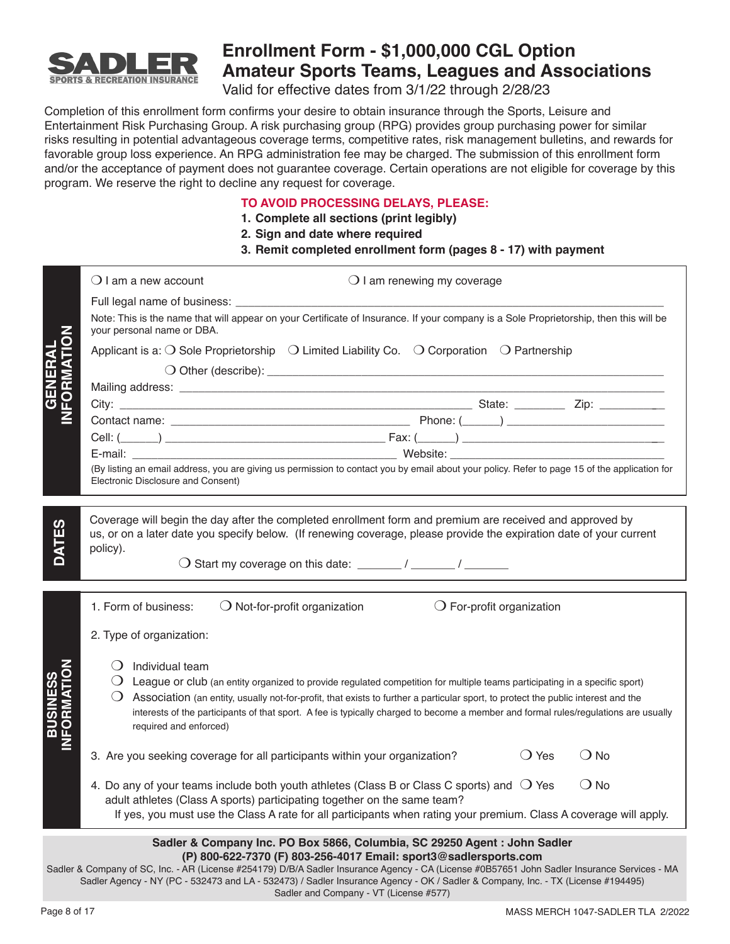

# **Enrollment Form - \$1,000,000 CGL Option Amateur Sports Teams, Leagues and Associations**

Valid for effective dates from 3/1/22 through 2/28/23

Completion of this enrollment form confirms your desire to obtain insurance through the Sports, Leisure and Entertainment Risk Purchasing Group. A risk purchasing group (RPG) provides group purchasing power for similar risks resulting in potential advantageous coverage terms, competitive rates, risk management bulletins, and rewards for favorable group loss experience. An RPG administration fee may be charged. The submission of this enrollment form and/or the acceptance of payment does not guarantee coverage. Certain operations are not eligible for coverage by this program. We reserve the right to decline any request for coverage.

## **TO AVOID PROCESSING DELAYS, PLEASE:**

- **1. Complete all sections (print legibly)**
- **2. Sign and date where required**
- **3. Remit completed enrollment form (pages 8 17) with payment**

|                               | $\bigcirc$ I am a new account                                              | $\bigcirc$ I am renewing my coverage                                                                                                                                                                                                                                                                                                                                                                                             |                |               |
|-------------------------------|----------------------------------------------------------------------------|----------------------------------------------------------------------------------------------------------------------------------------------------------------------------------------------------------------------------------------------------------------------------------------------------------------------------------------------------------------------------------------------------------------------------------|----------------|---------------|
| <b>GENERAL<br/>NFORMATION</b> | your personal name or DBA.                                                 | Note: This is the name that will appear on your Certificate of Insurance. If your company is a Sole Proprietorship, then this will be<br>Applicant is a: $\bigcirc$ Sole Proprietorship $\bigcirc$ Limited Liability Co. $\bigcirc$ Corporation $\bigcirc$ Partnership<br>(By listing an email address, you are giving us permission to contact you by email about your policy. Refer to page 15 of the application for          |                |               |
|                               | Electronic Disclosure and Consent)                                         |                                                                                                                                                                                                                                                                                                                                                                                                                                  |                |               |
|                               | policy).                                                                   | Coverage will begin the day after the completed enrollment form and premium are received and approved by<br>us, or on a later date you specify below. (If renewing coverage, please provide the expiration date of your current                                                                                                                                                                                                  |                |               |
|                               | 1. Form of business:                                                       | $\bigcirc$ Not-for-profit organization<br>$\bigcirc$ For-profit organization                                                                                                                                                                                                                                                                                                                                                     |                |               |
|                               | 2. Type of organization:                                                   |                                                                                                                                                                                                                                                                                                                                                                                                                                  |                |               |
| FORMATIO<br><b>BUSINESS</b>   | $\bigcirc$ Individual team<br>required and enforced)                       | $\bigcirc$ League or club (an entity organized to provide regulated competition for multiple teams participating in a specific sport)<br>○ Association (an entity, usually not-for-profit, that exists to further a particular sport, to protect the public interest and the<br>interests of the participants of that sport. A fee is typically charged to become a member and formal rules/regulations are usually              |                |               |
|                               | 3. Are you seeking coverage for all participants within your organization? |                                                                                                                                                                                                                                                                                                                                                                                                                                  | $\bigcirc$ Yes | $()$ No       |
|                               |                                                                            | 4. Do any of your teams include both youth athletes (Class B or Class C sports) and $\bigcirc$ Yes<br>adult athletes (Class A sports) participating together on the same team?<br>If yes, you must use the Class A rate for all participants when rating your premium. Class A coverage will apply.                                                                                                                              |                | $\bigcirc$ No |
|                               |                                                                            | Sadler & Company Inc. PO Box 5866, Columbia, SC 29250 Agent : John Sadler<br>(P) 800-622-7370 (F) 803-256-4017 Email: sport3@sadlersports.com<br>Sadler & Company of SC, Inc. - AR (License #254179) D/B/A Sadler Insurance Agency - CA (License #0B57651 John Sadler Insurance Services - MA<br>Sadler Agency - NY (PC - 532473 and LA - 532473) / Sadler Insurance Agency - OK / Sadler & Company, Inc. - TX (License #194495) |                |               |

Sadler and Company - VT (License #577)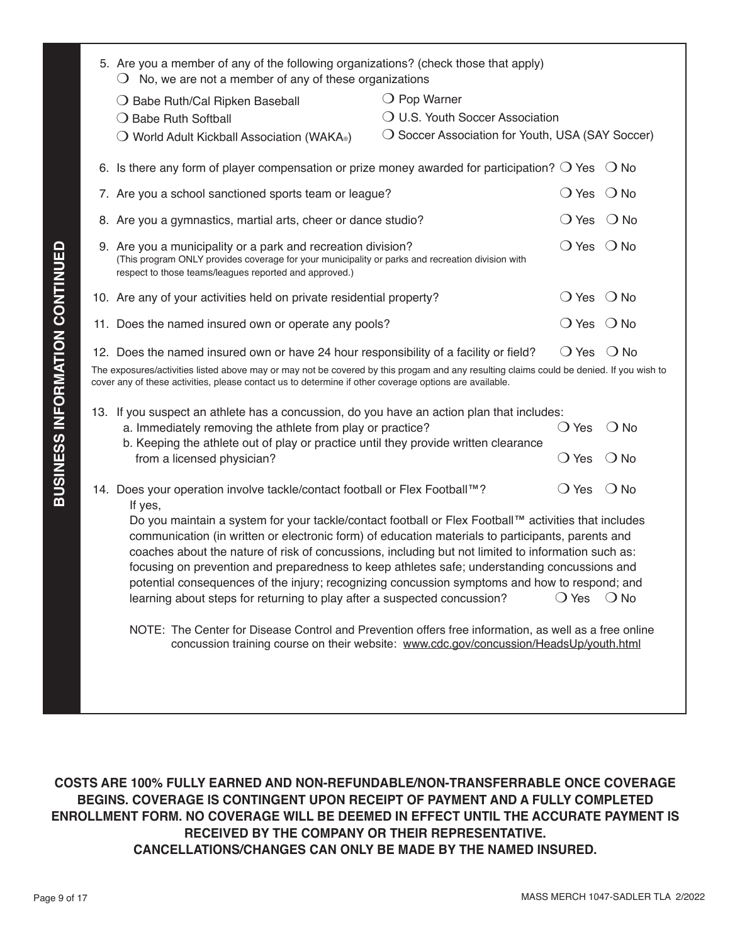|                                                                                                                                                                                                                                                                                                                                                                                                                                                                                                                                                                                                                              | 5. Are you a member of any of the following organizations? (check those that apply)<br>$\bigcirc$ No, we are not a member of any of these organizations                                                                                           |                                                  |                              |               |  |  |
|------------------------------------------------------------------------------------------------------------------------------------------------------------------------------------------------------------------------------------------------------------------------------------------------------------------------------------------------------------------------------------------------------------------------------------------------------------------------------------------------------------------------------------------------------------------------------------------------------------------------------|---------------------------------------------------------------------------------------------------------------------------------------------------------------------------------------------------------------------------------------------------|--------------------------------------------------|------------------------------|---------------|--|--|
|                                                                                                                                                                                                                                                                                                                                                                                                                                                                                                                                                                                                                              | ○ Babe Ruth/Cal Ripken Baseball                                                                                                                                                                                                                   | $\bigcirc$ Pop Warner                            |                              |               |  |  |
|                                                                                                                                                                                                                                                                                                                                                                                                                                                                                                                                                                                                                              | ○ Babe Ruth Softball                                                                                                                                                                                                                              | O U.S. Youth Soccer Association                  |                              |               |  |  |
|                                                                                                                                                                                                                                                                                                                                                                                                                                                                                                                                                                                                                              | $\bigcirc$ World Adult Kickball Association (WAKA.)                                                                                                                                                                                               | ◯ Soccer Association for Youth, USA (SAY Soccer) |                              |               |  |  |
|                                                                                                                                                                                                                                                                                                                                                                                                                                                                                                                                                                                                                              | 6. Is there any form of player compensation or prize money awarded for participation? $\bigcirc$ Yes $\bigcirc$ No                                                                                                                                |                                                  |                              |               |  |  |
|                                                                                                                                                                                                                                                                                                                                                                                                                                                                                                                                                                                                                              | 7. Are you a school sanctioned sports team or league?                                                                                                                                                                                             |                                                  | $\bigcirc$ Yes               | $\bigcirc$ No |  |  |
|                                                                                                                                                                                                                                                                                                                                                                                                                                                                                                                                                                                                                              | 8. Are you a gymnastics, martial arts, cheer or dance studio?                                                                                                                                                                                     |                                                  | $\bigcirc$ Yes               | $\bigcirc$ No |  |  |
|                                                                                                                                                                                                                                                                                                                                                                                                                                                                                                                                                                                                                              | 9. Are you a municipality or a park and recreation division?<br>(This program ONLY provides coverage for your municipality or parks and recreation division with<br>respect to those teams/leagues reported and approved.)                        | $\bigcirc$ Yes $\bigcirc$ No                     |                              |               |  |  |
|                                                                                                                                                                                                                                                                                                                                                                                                                                                                                                                                                                                                                              | 10. Are any of your activities held on private residential property?                                                                                                                                                                              |                                                  | $\bigcirc$ Yes $\bigcirc$ No |               |  |  |
|                                                                                                                                                                                                                                                                                                                                                                                                                                                                                                                                                                                                                              | 11. Does the named insured own or operate any pools?                                                                                                                                                                                              | $\bigcirc$ Yes $\bigcirc$ No                     |                              |               |  |  |
|                                                                                                                                                                                                                                                                                                                                                                                                                                                                                                                                                                                                                              | $\bigcirc$ Yes<br>○ No<br>12. Does the named insured own or have 24 hour responsibility of a facility or field?                                                                                                                                   |                                                  |                              |               |  |  |
|                                                                                                                                                                                                                                                                                                                                                                                                                                                                                                                                                                                                                              | The exposures/activities listed above may or may not be covered by this progam and any resulting claims could be denied. If you wish to<br>cover any of these activities, please contact us to determine if other coverage options are available. |                                                  |                              |               |  |  |
|                                                                                                                                                                                                                                                                                                                                                                                                                                                                                                                                                                                                                              | 13. If you suspect an athlete has a concussion, do you have an action plan that includes:                                                                                                                                                         |                                                  |                              |               |  |  |
|                                                                                                                                                                                                                                                                                                                                                                                                                                                                                                                                                                                                                              | a. Immediately removing the athlete from play or practice?<br>b. Keeping the athlete out of play or practice until they provide written clearance                                                                                                 |                                                  | $\bigcirc$ Yes               | $\bigcirc$ No |  |  |
|                                                                                                                                                                                                                                                                                                                                                                                                                                                                                                                                                                                                                              | from a licensed physician?                                                                                                                                                                                                                        |                                                  | $\bigcirc$ Yes               | $\bigcirc$ No |  |  |
|                                                                                                                                                                                                                                                                                                                                                                                                                                                                                                                                                                                                                              | 14. Does your operation involve tackle/contact football or Flex Football™?<br>If yes,                                                                                                                                                             |                                                  | $\bigcirc$ Yes               | $\bigcirc$ No |  |  |
| Do you maintain a system for your tackle/contact football or Flex Football™ activities that includes<br>communication (in written or electronic form) of education materials to participants, parents and<br>coaches about the nature of risk of concussions, including but not limited to information such as:<br>focusing on prevention and preparedness to keep athletes safe; understanding concussions and<br>potential consequences of the injury; recognizing concussion symptoms and how to respond; and<br>learning about steps for returning to play after a suspected concussion?<br>$\bigcirc$ Yes $\bigcirc$ No |                                                                                                                                                                                                                                                   |                                                  |                              |               |  |  |
|                                                                                                                                                                                                                                                                                                                                                                                                                                                                                                                                                                                                                              | NOTE: The Center for Disease Control and Prevention offers free information, as well as a free online<br>concussion training course on their website: www.cdc.gov/concussion/HeadsUp/youth.html                                                   |                                                  |                              |               |  |  |
|                                                                                                                                                                                                                                                                                                                                                                                                                                                                                                                                                                                                                              |                                                                                                                                                                                                                                                   |                                                  |                              |               |  |  |
|                                                                                                                                                                                                                                                                                                                                                                                                                                                                                                                                                                                                                              |                                                                                                                                                                                                                                                   |                                                  |                              |               |  |  |
|                                                                                                                                                                                                                                                                                                                                                                                                                                                                                                                                                                                                                              |                                                                                                                                                                                                                                                   |                                                  |                              |               |  |  |

**COSTS ARE 100% FULLY EARNED AND NON-REFUNDABLE/NON-TRANSFERRABLE ONCE COVERAGE BEGINS. COVERAGE IS CONTINGENT UPON RECEIPT OF PAYMENT AND A FULLY COMPLETED ENROLLMENT FORM. NO COVERAGE WILL BE DEEMED IN EFFECT UNTIL THE ACCURATE PAYMENT IS RECEIVED BY THE COMPANY OR THEIR REPRESENTATIVE. CANCELLATIONS/CHANGES CAN ONLY BE MADE BY THE NAMED INSURED.**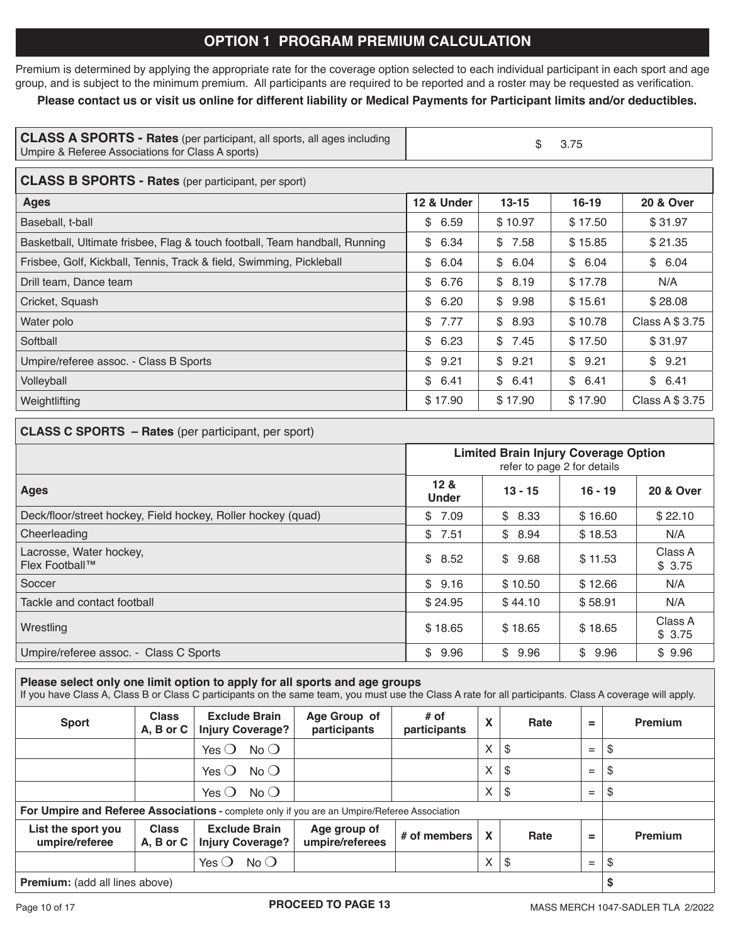# **OPTION 1 PROGRAM PREMIUM CALCULATION**

Premium is determined by applying the appropriate rate for the coverage option selected to each individual participant in each sport and age group, and is subject to the minimum premium. All participants are required to be reported and a roster may be requested as verification.

## **Please contact us or visit us online for different liability or Medical Payments for Participant limits and/or deductibles.**

| <b>CLASS A SPORTS - Rates</b> (per participant, all sports, all ages including<br>Umpire & Referee Associations for Class A sports) |            |           |           |                      |  |  |  |  |  |
|-------------------------------------------------------------------------------------------------------------------------------------|------------|-----------|-----------|----------------------|--|--|--|--|--|
| <b>CLASS B SPORTS - Rates (per participant, per sport)</b>                                                                          |            |           |           |                      |  |  |  |  |  |
| <b>Ages</b>                                                                                                                         | 12 & Under | $13 - 15$ | $16 - 19$ | <b>20 &amp; Over</b> |  |  |  |  |  |
| Baseball, t-ball                                                                                                                    | \$6.59     | \$10.97   | \$17.50   | \$31.97              |  |  |  |  |  |
| Basketball, Ultimate frisbee, Flag & touch football, Team handball, Running                                                         | \$6.34     | \$7.58    | \$15.85   | \$21.35              |  |  |  |  |  |
| Frisbee, Golf, Kickball, Tennis, Track & field, Swimming, Pickleball                                                                | \$<br>6.04 | \$6.04    | \$6.04    | \$6.04               |  |  |  |  |  |
| Drill team, Dance team                                                                                                              | \$6.76     | \$8.19    | \$17.78   | N/A                  |  |  |  |  |  |
| Cricket, Squash                                                                                                                     | \$6.20     | \$9.98    | \$15.61   | \$28.08              |  |  |  |  |  |
| Water polo                                                                                                                          | \$7.77     | \$ 8.93   | \$10.78   | Class A \$ 3.75      |  |  |  |  |  |
| Softball                                                                                                                            | \$6.23     | \$7.45    | \$17.50   | \$31.97              |  |  |  |  |  |
| Umpire/referee assoc. - Class B Sports                                                                                              | \$9.21     | \$9.21    | \$9.21    | \$9.21               |  |  |  |  |  |
| Volleyball                                                                                                                          | \$6.41     | \$6.41    | \$6.41    | \$6.41               |  |  |  |  |  |
| Weightlifting                                                                                                                       | \$17.90    | \$17.90   | \$17.90   | Class A \$ 3.75      |  |  |  |  |  |

## **CLASS C SPORTS – Rates** (per participant, per sport)

|                                                              | <b>Limited Brain Injury Coverage Option</b><br>refer to page 2 for details |            |            |                   |  |
|--------------------------------------------------------------|----------------------------------------------------------------------------|------------|------------|-------------------|--|
| <b>Ages</b>                                                  | 12 <sub>8</sub><br><b>Under</b>                                            | $16 - 19$  | 20 & Over  |                   |  |
| Deck/floor/street hockey, Field hockey, Roller hockey (quad) | \$<br>7.09                                                                 | \$<br>8.33 | \$16.60    | \$22.10           |  |
| Cheerleading                                                 | \$<br>7.51                                                                 | \$<br>8.94 | \$18.53    | N/A               |  |
| Lacrosse, Water hockey,<br>Flex Football™                    | \$8.52                                                                     | \$<br>9.68 | \$11.53    | Class A<br>\$3.75 |  |
| Soccer                                                       | \$9.16                                                                     | \$10.50    | \$12.66    | N/A               |  |
| Tackle and contact football                                  | \$24.95                                                                    | \$44.10    | \$58.91    | N/A               |  |
| Wrestling                                                    | \$18.65                                                                    | \$18.65    | \$18.65    | Class A<br>\$3.75 |  |
| Umpire/referee assoc. - Class C Sports                       | \$<br>9.96                                                                 | \$<br>9.96 | \$<br>9.96 | \$9.96            |  |

#### **Please select only one limit option to apply for all sports and age groups**

If you have Class A, Class B or Class C participants on the same team, you must use the Class A rate for all participants. Class A coverage will apply.

| <b>Sport</b>                                                                                 | <b>Class</b><br>A, B or C | <b>Exclude Brain</b><br><b>Injury Coverage?</b> | Age Group of<br>participants    | $#$ of<br>participants | X                         | Rate | =   | Premium |
|----------------------------------------------------------------------------------------------|---------------------------|-------------------------------------------------|---------------------------------|------------------------|---------------------------|------|-----|---------|
|                                                                                              |                           | Yes $\bigcirc$<br>$No$ $O$                      |                                 |                        | X                         | S.   | $=$ | \$      |
|                                                                                              |                           | $No$ $O$<br>Yes $\bigcirc$                      |                                 |                        | X                         | \$   | $=$ | \$      |
|                                                                                              |                           | $No$ $O$<br>Yes $\bigcirc$                      |                                 |                        | X                         | -\$  | $=$ | \$      |
| For Umpire and Referee Associations - complete only if you are an Umpire/Referee Association |                           |                                                 |                                 |                        |                           |      |     |         |
| List the sport you<br>umpire/referee                                                         | <b>Class</b><br>A, B or C | <b>Exclude Brain</b><br><b>Injury Coverage?</b> | Age group of<br>umpire/referees | # of members           | $\boldsymbol{\mathsf{x}}$ | Rate | =   | Premium |
|                                                                                              |                           | $No$ $O$<br>Yes $\bigcirc$                      |                                 |                        | X                         | \$   | $=$ | \$      |
| <b>Premium:</b> (add all lines above)                                                        |                           |                                                 |                                 |                        |                           |      | \$  |         |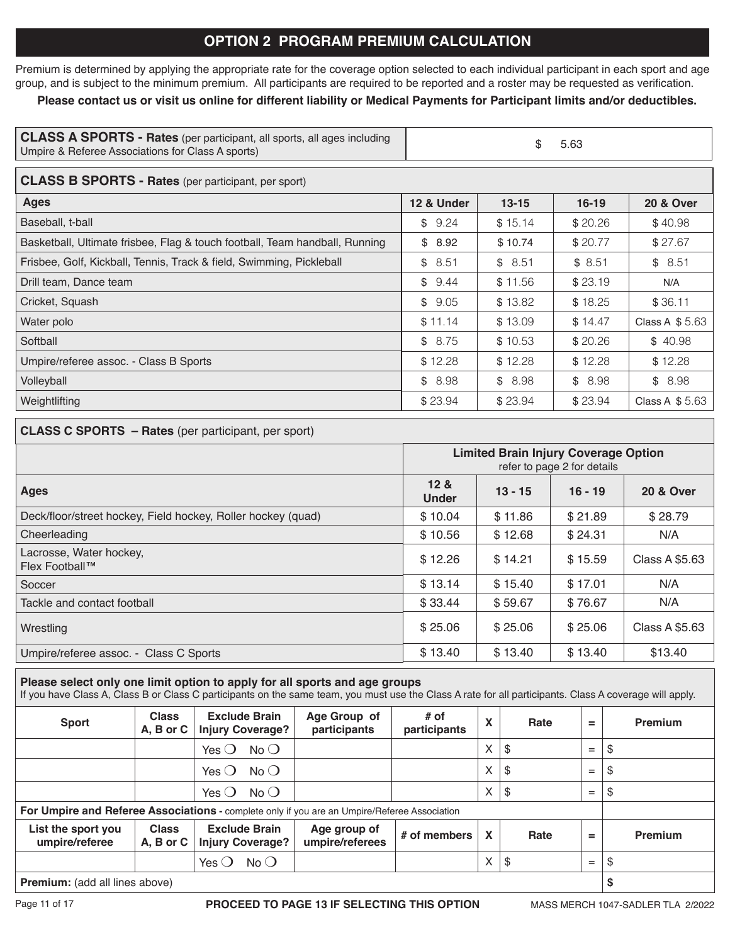# **OPTION 2 PROGRAM PREMIUM CALCULATION**

Premium is determined by applying the appropriate rate for the coverage option selected to each individual participant in each sport and age group, and is subject to the minimum premium. All participants are required to be reported and a roster may be requested as verification.

## **Please contact us or visit us online for different liability or Medical Payments for Participant limits and/or deductibles.**

| CLASS A SPORTS - Rates (per participant, all sports, all ages including<br>Umpire & Referee Associations for Class A sports) | 5.63 |
|------------------------------------------------------------------------------------------------------------------------------|------|
|                                                                                                                              |      |

| <b>CLASS B SPORTS - Rates</b> (per participant, per sport)                  |            |           |           |                       |  |  |  |  |
|-----------------------------------------------------------------------------|------------|-----------|-----------|-----------------------|--|--|--|--|
| <b>Ages</b>                                                                 | 12 & Under | $13 - 15$ | $16 - 19$ | <b>20 &amp; Over</b>  |  |  |  |  |
| Baseball, t-ball                                                            | \$9.24     | \$15.14   | \$20.26   | \$40.98               |  |  |  |  |
| Basketball, Ultimate frisbee, Flag & touch football, Team handball, Running | \$8.92     | \$10.74   | \$20.77   | \$27.67               |  |  |  |  |
| Frisbee, Golf, Kickball, Tennis, Track & field, Swimming, Pickleball        | \$8.51     | \$8.51    | \$8.51    | \$8.51                |  |  |  |  |
| Drill team, Dance team                                                      | \$9.44     | \$11.56   | \$23.19   | N/A                   |  |  |  |  |
| Cricket, Squash                                                             | \$9.05     | \$13.82   | \$18.25   | \$36.11               |  |  |  |  |
| Water polo                                                                  | \$11.14    | \$13.09   | \$14.47   | Class A \$5.63        |  |  |  |  |
| Softball                                                                    | \$8.75     | \$10.53   | \$20.26   | \$40.98               |  |  |  |  |
| Umpire/referee assoc. - Class B Sports                                      | \$12.28    | \$12.28   | \$12.28   | \$12.28               |  |  |  |  |
| Volleyball                                                                  | \$8.98     | \$8.98    | \$8.98    | \$8.98                |  |  |  |  |
| Weightlifting                                                               | \$23.94    | \$23.94   | \$23.94   | <b>Class A \$5.63</b> |  |  |  |  |

## **CLASS C SPORTS – Rates** (per participant, per sport)

|                                                              | <b>Limited Brain Injury Coverage Option</b><br>refer to page 2 for details |           |                      |                |  |  |
|--------------------------------------------------------------|----------------------------------------------------------------------------|-----------|----------------------|----------------|--|--|
| <b>Ages</b>                                                  | 12 <sub>8</sub><br><b>Under</b>                                            | $16 - 19$ | <b>20 &amp; Over</b> |                |  |  |
| Deck/floor/street hockey, Field hockey, Roller hockey (quad) | \$10.04                                                                    | \$11.86   | \$21.89              | \$28.79        |  |  |
| Cheerleading                                                 | \$10.56                                                                    | \$12.68   | \$24.31              | N/A            |  |  |
| Lacrosse, Water hockey,<br>Flex Football™                    | \$12.26                                                                    | \$14.21   | \$15.59              | Class A \$5.63 |  |  |
| Soccer                                                       | \$13.14                                                                    | \$15.40   | \$17.01              | N/A            |  |  |
| Tackle and contact football                                  | \$33.44                                                                    | \$59.67   | \$76.67              | N/A            |  |  |
| Wrestling                                                    | \$25.06                                                                    | \$25.06   | \$25.06              | Class A \$5.63 |  |  |
| Umpire/referee assoc. - Class C Sports                       | \$13.40                                                                    | \$13.40   | \$13.40              | \$13.40        |  |  |

## **Please select only one limit option to apply for all sports and age groups**

If you have Class A, Class B or Class C participants on the same team, you must use the Class A rate for all participants. Class A coverage will apply.

| <b>Sport</b>                                                                                 | <b>Class</b><br>A, B or C     | <b>Exclude Brain</b><br><b>Injury Coverage?</b> | Age Group of<br>participants    | # of<br>participants | X | Rate | =   | Premium |
|----------------------------------------------------------------------------------------------|-------------------------------|-------------------------------------------------|---------------------------------|----------------------|---|------|-----|---------|
|                                                                                              |                               | Yes $\bigcirc$<br>$No$ $O$                      |                                 |                      | X | \$   | $=$ | \$      |
|                                                                                              |                               | $No$ $O$<br>Yes $\bigcirc$                      |                                 |                      | X | \$   | $=$ | \$      |
|                                                                                              |                               | $No$ $O$<br>Yes $\bigcirc$                      |                                 |                      | X | \$   | $=$ | \$      |
| For Umpire and Referee Associations - complete only if you are an Umpire/Referee Association |                               |                                                 |                                 |                      |   |      |     |         |
| List the sport you<br>umpire/referee                                                         | <b>Class</b><br>$A, B$ or $C$ | <b>Exclude Brain</b><br><b>Injury Coverage?</b> | Age group of<br>umpire/referees | # of members         | X | Rate | =   | Premium |
|                                                                                              |                               | $No$ $\bigcirc$<br>Yes $\bigcirc$               |                                 |                      | X | \$   | $=$ | \$      |
| <b>Premium:</b> (add all lines above)                                                        |                               |                                                 |                                 |                      |   |      | \$  |         |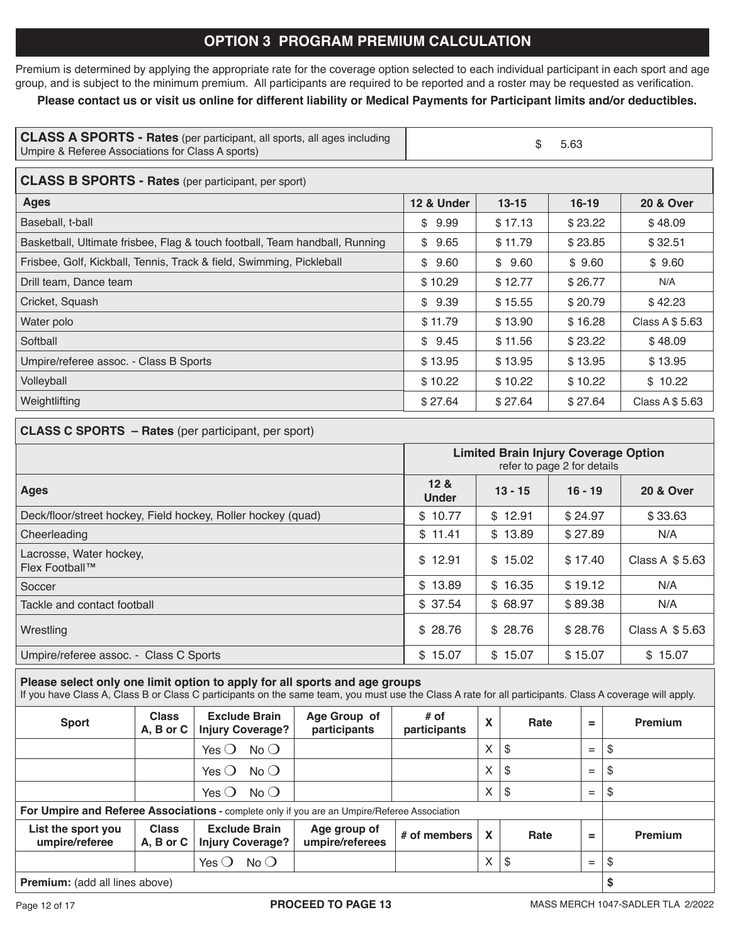# **OPTION 3 PROGRAM PREMIUM CALCULATION**

Premium is determined by applying the appropriate rate for the coverage option selected to each individual participant in each sport and age group, and is subject to the minimum premium. All participants are required to be reported and a roster may be requested as verification.

## **Please contact us or visit us online for different liability or Medical Payments for Participant limits and/or deductibles.**

| <b>CLASS A SPORTS - Rates</b> (per participant, all sports, all ages including<br>Umpire & Referee Associations for Class A sports) | \$<br>5.63 |           |           |                      |  |  |  |  |  |
|-------------------------------------------------------------------------------------------------------------------------------------|------------|-----------|-----------|----------------------|--|--|--|--|--|
| <b>CLASS B SPORTS - Rates (per participant, per sport)</b>                                                                          |            |           |           |                      |  |  |  |  |  |
| <b>Ages</b>                                                                                                                         | 12 & Under | $13 - 15$ | $16 - 19$ | <b>20 &amp; Over</b> |  |  |  |  |  |
| Baseball, t-ball                                                                                                                    | \$9.99     | \$17.13   | \$23.22   | \$48.09              |  |  |  |  |  |
| Basketball, Ultimate frisbee, Flag & touch football, Team handball, Running                                                         | \$9.65     | \$11.79   | \$23.85   | \$32.51              |  |  |  |  |  |
| Frisbee, Golf, Kickball, Tennis, Track & field, Swimming, Pickleball                                                                | 9.60<br>\$ | \$9.60    | \$9.60    | \$9.60               |  |  |  |  |  |
| Drill team, Dance team                                                                                                              | \$10.29    | \$12.77   | \$26.77   | N/A                  |  |  |  |  |  |
| Cricket, Squash                                                                                                                     | \$9.39     | \$15.55   | \$20.79   | \$42.23              |  |  |  |  |  |
| Water polo                                                                                                                          | \$11.79    | \$13.90   | \$16.28   | Class A \$ 5.63      |  |  |  |  |  |
| Softball                                                                                                                            | \$9.45     | \$11.56   | \$23.22   | \$48.09              |  |  |  |  |  |
| Umpire/referee assoc. - Class B Sports                                                                                              | \$13.95    | \$13.95   | \$13.95   | \$13.95              |  |  |  |  |  |
| Volleyball                                                                                                                          | \$10.22    | \$10.22   | \$10.22   | \$10.22              |  |  |  |  |  |
| Weightlifting                                                                                                                       | \$27.64    | \$27.64   | \$27.64   | Class A \$ 5.63      |  |  |  |  |  |

#### **CLASS C SPORTS – Rates** (per participant, per sport)

|                                                              | <b>Limited Brain Injury Coverage Option</b><br>refer to page 2 for details |           |           |                 |  |  |
|--------------------------------------------------------------|----------------------------------------------------------------------------|-----------|-----------|-----------------|--|--|
| <b>Ages</b>                                                  | 12 <sub>8</sub><br><b>Under</b>                                            | $13 - 15$ | $16 - 19$ | 20 & Over       |  |  |
| Deck/floor/street hockey, Field hockey, Roller hockey (quad) | \$10.77                                                                    | \$12.91   | \$24.97   | \$33.63         |  |  |
| Cheerleading                                                 | \$11.41                                                                    | \$13.89   | \$27.89   | N/A             |  |  |
| Lacrosse, Water hockey,<br>Flex Football™                    | \$12.91                                                                    | \$15.02   | \$17.40   | Class A $$5.63$ |  |  |
| Soccer                                                       | \$13.89                                                                    | \$16.35   | \$19.12   | N/A             |  |  |
| Tackle and contact football                                  | \$37.54                                                                    | \$68.97   | \$89.38   | N/A             |  |  |
| Wrestling                                                    | \$28.76                                                                    | \$28.76   | \$28.76   | Class A \$5.63  |  |  |
| Umpire/referee assoc. - Class C Sports                       | \$15.07                                                                    | \$15.07   | \$15.07   | \$15.07         |  |  |

#### **Please select only one limit option to apply for all sports and age groups**

If you have Class A, Class B or Class C participants on the same team, you must use the Class A rate for all participants. Class A coverage will apply.

| <b>Sport</b>                                                                                 | <b>Class</b><br>$A, B$ or $C$ | <b>Exclude Brain</b><br><b>Injury Coverage?</b> | Age Group of<br>participants    | $#$ of<br>participants | X                         | Rate | =   | Premium |
|----------------------------------------------------------------------------------------------|-------------------------------|-------------------------------------------------|---------------------------------|------------------------|---------------------------|------|-----|---------|
|                                                                                              |                               | $No$ $O$<br>Yes $\bigcirc$                      |                                 |                        | X                         | \$   | $=$ | \$      |
|                                                                                              |                               | $No$ $O$<br>Yes $\bigcirc$                      |                                 |                        | X                         | \$   | $=$ | \$      |
|                                                                                              |                               | No O<br>Yes $\bigcirc$                          |                                 |                        | X                         | \$   | $=$ | \$      |
| For Umpire and Referee Associations - complete only if you are an Umpire/Referee Association |                               |                                                 |                                 |                        |                           |      |     |         |
| List the sport you<br>umpire/referee                                                         | <b>Class</b><br>$A, B$ or $C$ | <b>Exclude Brain</b><br><b>Injury Coverage?</b> | Age group of<br>umpire/referees | $#$ of members         | $\boldsymbol{\mathsf{X}}$ | Rate | =   | Premium |
|                                                                                              |                               | No<br>Yes $\bigcirc$                            |                                 |                        | X                         | \$   | $=$ | \$      |
| Dramium: (add all linear should be                                                           |                               |                                                 |                                 |                        | ¢                         |      |     |         |

**Premium:** (add all lines above) **\$**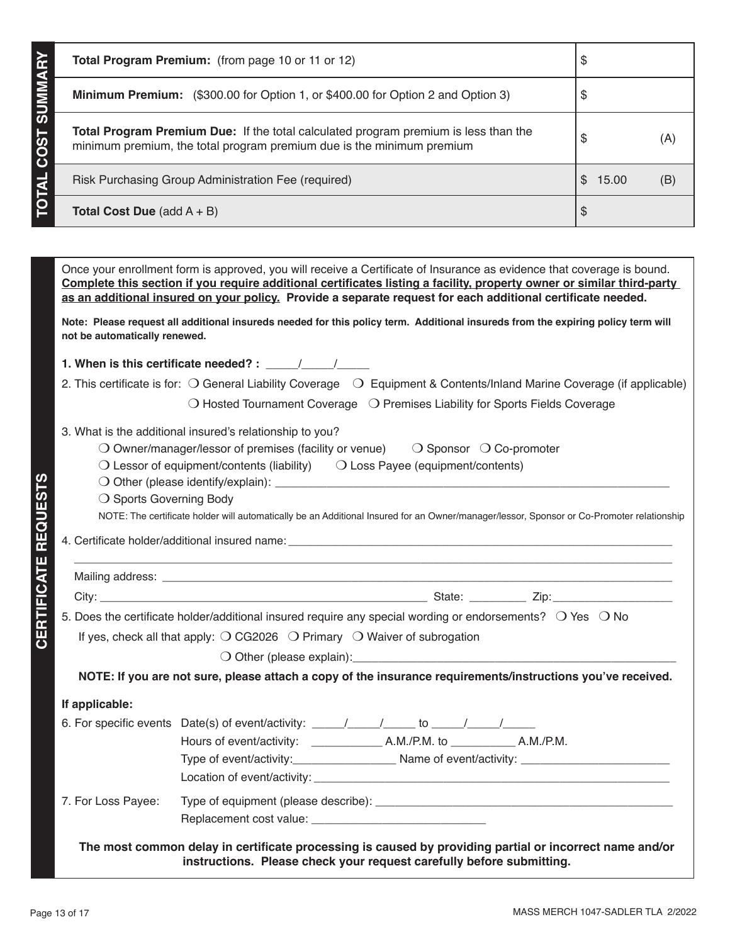|      | Total Program Premium: (from page 10 or 11 or 12)                                                                                                                                                                                                                                                                                                               | \$                      |     |  |  |
|------|-----------------------------------------------------------------------------------------------------------------------------------------------------------------------------------------------------------------------------------------------------------------------------------------------------------------------------------------------------------------|-------------------------|-----|--|--|
|      | <b>Minimum Premium:</b> (\$300.00 for Option 1, or \$400.00 for Option 2 and Option 3)                                                                                                                                                                                                                                                                          | \$                      |     |  |  |
| COS' | <b>Total Program Premium Due:</b> If the total calculated program premium is less than the<br>minimum premium, the total program premium due is the minimum premium                                                                                                                                                                                             | \$                      | (A) |  |  |
|      | Risk Purchasing Group Administration Fee (required)                                                                                                                                                                                                                                                                                                             | $\mathbb{S}^-$<br>15.00 | (B) |  |  |
|      | <b>Total Cost Due</b> (add $A + B$ )                                                                                                                                                                                                                                                                                                                            | \$                      |     |  |  |
|      |                                                                                                                                                                                                                                                                                                                                                                 |                         |     |  |  |
|      | Once your enrollment form is approved, you will receive a Certificate of Insurance as evidence that coverage is bound.<br>Complete this section if you require additional certificates listing a facility, property owner or similar third-party<br>as an additional insured on your policy. Provide a separate request for each additional certificate needed. |                         |     |  |  |

| Note: Please request all additional insureds needed for this policy term. Additional insureds from the expiring policy term will |  |
|----------------------------------------------------------------------------------------------------------------------------------|--|
| not be automatically renewed.                                                                                                    |  |

**1. When is this certificate needed? :** \_\_\_\_\_/\_\_\_\_\_/\_\_\_\_\_

- 2. This certificate is for:  $\bigcirc$  General Liability Coverage  $\bigcirc$  Equipment & Contents/Inland Marine Coverage (if applicable)
	- $\bigcirc$  Hosted Tournament Coverage  $\bigcirc$  Premises Liability for Sports Fields Coverage

#### 3. What is the additional insured's relationship to you?

- $\bigcirc$  Owner/manager/lessor of premises (facility or venue)  $\bigcirc$  Sponsor  $\bigcirc$  Co-promoter
- $\bigcirc$  Lessor of equipment/contents (liability)  $\bigcirc$  Loss Payee (equipment/contents)
- m Other (please identify/explain): \_\_\_\_\_\_\_\_\_\_\_\_\_\_\_\_\_\_\_\_\_\_\_\_\_\_\_\_\_\_\_\_\_\_\_\_\_\_\_\_\_\_\_\_\_\_\_\_\_\_\_\_\_\_\_\_\_\_\_\_\_
- $\bigcirc$  Sports Governing Body

NOTE: The certificate holder will automatically be an Additional Insured for an Owner/manager/lessor, Sponsor or Co-Promoter relationship

4. Certificate holder/additional insured name:

|                                                                                                     | 5. Does the certificate holder/additional insured require any special wording or endorsements? $\bigcirc$ Yes $\bigcirc$ No |
|-----------------------------------------------------------------------------------------------------|-----------------------------------------------------------------------------------------------------------------------------|
| If yes, check all that apply: $\bigcirc$ CG2026 $\bigcirc$ Primary $\bigcirc$ Waiver of subrogation |                                                                                                                             |
|                                                                                                     |                                                                                                                             |
|                                                                                                     | NOTE: If you are not sure, please attach a copy of the insurance requirements/instructions you've received                  |

**E: If you are not sure, please attach a copy of the insurance requirements/instructions you've received.** 

#### **If applicable:**

**CERTIFICATE REQUESTS**

**CERTIFICATE REQUESTS** 

|                    | Hours of event/activity: ___________<br>A.M./P.M. to A.M./P.M.                                                 |
|--------------------|----------------------------------------------------------------------------------------------------------------|
|                    | Type of event/activity: Name of event/activity: Name of event in the set of event in the set of event in the s |
|                    |                                                                                                                |
| 7. For Loss Payee: |                                                                                                                |

**The most common delay in certificate processing is caused by providing partial or incorrect name and/or instructions. Please check your request carefully before submitting.**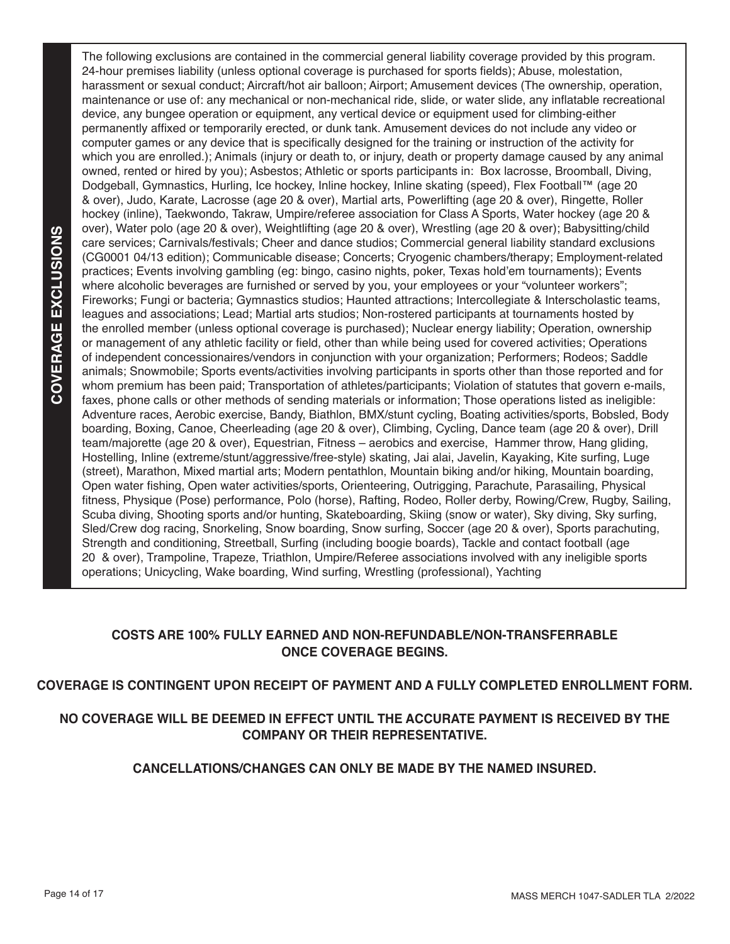The following exclusions are contained in the commercial general liability coverage provided by this program. 24-hour premises liability (unless optional coverage is purchased for sports fields); Abuse, molestation, harassment or sexual conduct; Aircraft/hot air balloon; Airport; Amusement devices (The ownership, operation, maintenance or use of: any mechanical or non-mechanical ride, slide, or water slide, any inflatable recreational device, any bungee operation or equipment, any vertical device or equipment used for climbing-either permanently affixed or temporarily erected, or dunk tank. Amusement devices do not include any video or computer games or any device that is specifically designed for the training or instruction of the activity for which you are enrolled.); Animals (injury or death to, or injury, death or property damage caused by any animal owned, rented or hired by you); Asbestos; Athletic or sports participants in: Box lacrosse, Broomball, Diving, Dodgeball, Gymnastics, Hurling, Ice hockey, Inline hockey, Inline skating (speed), Flex Football™ (age 20 & over), Judo, Karate, Lacrosse (age 20 & over), Martial arts, Powerlifting (age 20 & over), Ringette, Roller hockey (inline), Taekwondo, Takraw, Umpire/referee association for Class A Sports, Water hockey (age 20 & over), Water polo (age 20 & over), Weightlifting (age 20 & over), Wrestling (age 20 & over); Babysitting/child care services; Carnivals/festivals; Cheer and dance studios; Commercial general liability standard exclusions (CG0001 04/13 edition); Communicable disease; Concerts; Cryogenic chambers/therapy; Employment-related practices; Events involving gambling (eg: bingo, casino nights, poker, Texas hold'em tournaments); Events where alcoholic beverages are furnished or served by you, your employees or your "volunteer workers"; Fireworks; Fungi or bacteria; Gymnastics studios; Haunted attractions; Intercollegiate & Interscholastic teams, leagues and associations; Lead; Martial arts studios; Non-rostered participants at tournaments hosted by the enrolled member (unless optional coverage is purchased); Nuclear energy liability; Operation, ownership or management of any athletic facility or field, other than while being used for covered activities; Operations of independent concessionaires/vendors in conjunction with your organization; Performers; Rodeos; Saddle animals; Snowmobile; Sports events/activities involving participants in sports other than those reported and for whom premium has been paid; Transportation of athletes/participants; Violation of statutes that govern e-mails, faxes, phone calls or other methods of sending materials or information; Those operations listed as ineligible: Adventure races, Aerobic exercise, Bandy, Biathlon, BMX/stunt cycling, Boating activities/sports, Bobsled, Body boarding, Boxing, Canoe, Cheerleading (age 20 & over), Climbing, Cycling, Dance team (age 20 & over), Drill team/majorette (age 20 & over), Equestrian, Fitness – aerobics and exercise, Hammer throw, Hang gliding, Hostelling, Inline (extreme/stunt/aggressive/free-style) skating, Jai alai, Javelin, Kayaking, Kite surfing, Luge (street), Marathon, Mixed martial arts; Modern pentathlon, Mountain biking and/or hiking, Mountain boarding, Open water fishing, Open water activities/sports, Orienteering, Outrigging, Parachute, Parasailing, Physical fitness, Physique (Pose) performance, Polo (horse), Rafting, Rodeo, Roller derby, Rowing/Crew, Rugby, Sailing, Scuba diving, Shooting sports and/or hunting, Skateboarding, Skiing (snow or water), Sky diving, Sky surfing, Sled/Crew dog racing, Snorkeling, Snow boarding, Snow surfing, Soccer (age 20 & over), Sports parachuting, Strength and conditioning, Streetball, Surfing (including boogie boards), Tackle and contact football (age 20 & over), Trampoline, Trapeze, Triathlon, Umpire/Referee associations involved with any ineligible sports operations; Unicycling, Wake boarding, Wind surfing, Wrestling (professional), Yachting

## **COSTS ARE 100% FULLY EARNED AND NON-REFUNDABLE/NON-TRANSFERRABLE ONCE COVERAGE BEGINS.**

## **COVERAGE IS CONTINGENT UPON RECEIPT OF PAYMENT AND A FULLY COMPLETED ENROLLMENT FORM.**

## **NO COVERAGE WILL BE DEEMED IN EFFECT UNTIL THE ACCURATE PAYMENT IS RECEIVED BY THE COMPANY OR THEIR REPRESENTATIVE.**

## **CANCELLATIONS/CHANGES CAN ONLY BE MADE BY THE NAMED INSURED.**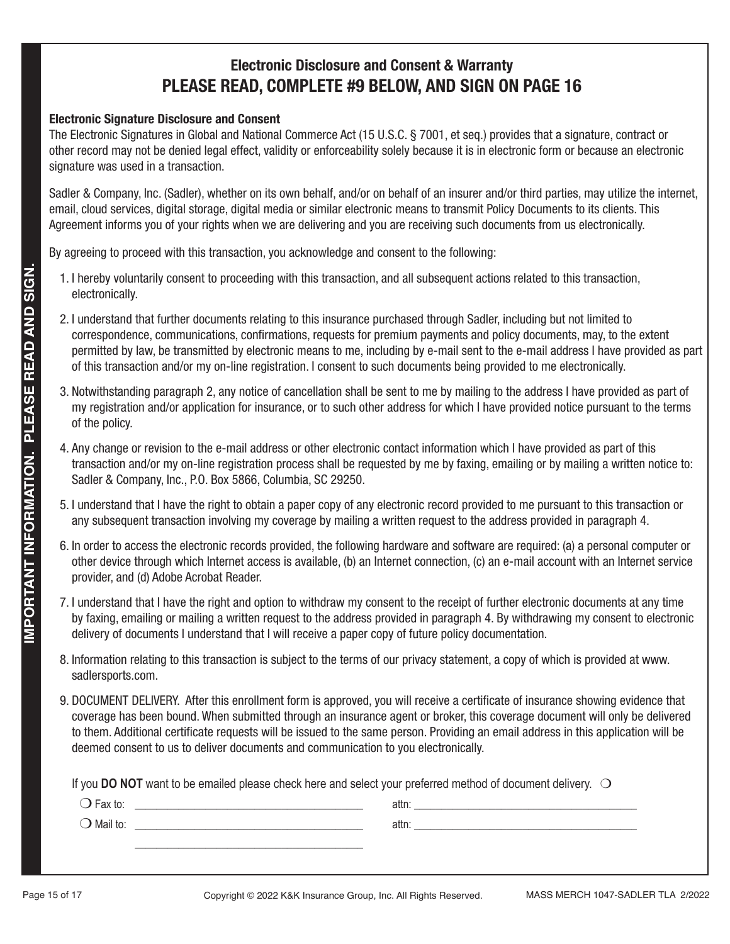# **Electronic Disclosure and Consent & Warranty PLEASE READ, COMPLETE #9 BELOW, AND SIGN ON PAGE 16**

## **Electronic Signature Disclosure and Consent**

The Electronic Signatures in Global and National Commerce Act (15 U.S.C. § 7001, et seq.) provides that a signature, contract or other record may not be denied legal effect, validity or enforceability solely because it is in electronic form or because an electronic signature was used in a transaction.

Sadler & Company, Inc. (Sadler), whether on its own behalf, and/or on behalf of an insurer and/or third parties, may utilize the internet, email, cloud services, digital storage, digital media or similar electronic means to transmit Policy Documents to its clients. This Agreement informs you of your rights when we are delivering and you are receiving such documents from us electronically.

By agreeing to proceed with this transaction, you acknowledge and consent to the following:

- 1. I hereby voluntarily consent to proceeding with this transaction, and all subsequent actions related to this transaction, electronically.
- 2. I understand that further documents relating to this insurance purchased through Sadler, including but not limited to correspondence, communications, confirmations, requests for premium payments and policy documents, may, to the extent permitted by law, be transmitted by electronic means to me, including by e-mail sent to the e-mail address I have provided as part of this transaction and/or my on-line registration. I consent to such documents being provided to me electronically.
- 3. Notwithstanding paragraph 2, any notice of cancellation shall be sent to me by mailing to the address I have provided as part of my registration and/or application for insurance, or to such other address for which I have provided notice pursuant to the terms of the policy.
- 4. Any change or revision to the e-mail address or other electronic contact information which I have provided as part of this transaction and/or my on-line registration process shall be requested by me by faxing, emailing or by mailing a written notice to: Sadler & Company, Inc., P.O. Box 5866, Columbia, SC 29250.
- 5. I understand that I have the right to obtain a paper copy of any electronic record provided to me pursuant to this transaction or any subsequent transaction involving my coverage by mailing a written request to the address provided in paragraph 4.
- 6. In order to access the electronic records provided, the following hardware and software are required: (a) a personal computer or other device through which Internet access is available, (b) an Internet connection, (c) an e-mail account with an Internet service provider, and (d) Adobe Acrobat Reader.
- 7. I understand that I have the right and option to withdraw my consent to the receipt of further electronic documents at any time by faxing, emailing or mailing a written request to the address provided in paragraph 4. By withdrawing my consent to electronic delivery of documents I understand that I will receive a paper copy of future policy documentation.
- 8. Information relating to this transaction is subject to the terms of our privacy statement, a copy of which is provided at www. sadlersports.com.
- 9. DOCUMENT DELIVERY. After this enrollment form is approved, you will receive a certificate of insurance showing evidence that coverage has been bound. When submitted through an insurance agent or broker, this coverage document will only be delivered to them. Additional certificate requests will be issued to the same person. Providing an email address in this application will be deemed consent to us to deliver documents and communication to you electronically.

If you **DO NOT** want to be emailed please check here and select your preferred method of document delivery.  $\bigcirc$ 

| $\bigcirc$ Fax to:  | attn: |  |
|---------------------|-------|--|
| $\bigcirc$ Mail to: | attn: |  |
|                     |       |  |
|                     |       |  |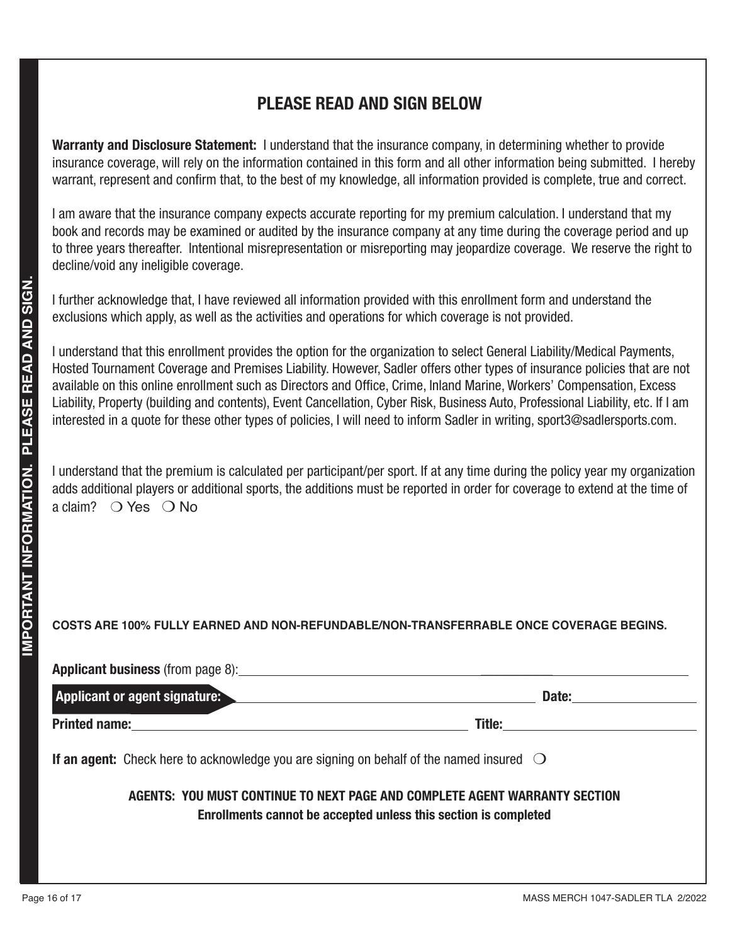# **PLEASE READ AND SIGN BELOW**

**Warranty and Disclosure Statement:** I understand that the insurance company, in determining whether to provide insurance coverage, will rely on the information contained in this form and all other information being submitted. I hereby warrant, represent and confirm that, to the best of my knowledge, all information provided is complete, true and correct.

I am aware that the insurance company expects accurate reporting for my premium calculation. I understand that my book and records may be examined or audited by the insurance company at any time during the coverage period and up to three years thereafter. Intentional misrepresentation or misreporting may jeopardize coverage. We reserve the right to decline/void any ineligible coverage.

I further acknowledge that, I have reviewed all information provided with this enrollment form and understand the exclusions which apply, as well as the activities and operations for which coverage is not provided.

I understand that this enrollment provides the option for the organization to select General Liability/Medical Payments, Hosted Tournament Coverage and Premises Liability. However, Sadler offers other types of insurance policies that are not available on this online enrollment such as Directors and Office, Crime, Inland Marine, Workers' Compensation, Excess Liability, Property (building and contents), Event Cancellation, Cyber Risk, Business Auto, Professional Liability, etc. If I am interested in a quote for these other types of policies, I will need to inform Sadler in writing, sport3@sadlersports.com.

I understand that the premium is calculated per participant/per sport. If at any time during the policy year my organization adds additional players or additional sports, the additions must be reported in order for coverage to extend at the time of a claim?  $\bigcirc$  Yes  $\bigcirc$  No

# **COSTS ARE 100% FULLY EARNED AND NON-REFUNDABLE/NON-TRANSFERRABLE ONCE COVERAGE BEGINS.**

| <b>Applicant business</b> (from page 8): |        |
|------------------------------------------|--------|
| <b>Applicant or agent signature:</b>     | Date:  |
| <b>Printed name:</b>                     | Title: |

**If an agent:** Check here to acknowledge you are signing on behalf of the named insured  $\bigcirc$ 

## **AGENTS: YOU MUST CONTINUE TO NEXT PAGE AND COMPLETE AGENT WARRANTY SECTION Enrollments cannot be accepted unless this section is completed**